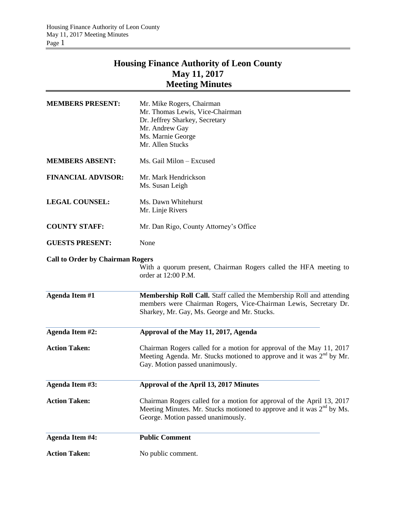# **Housing Finance Authority of Leon County May 11, 2017 Meeting Minutes**

| <b>Action Taken:</b>                    | No public comment.                                                                                                                                                                       |  |
|-----------------------------------------|------------------------------------------------------------------------------------------------------------------------------------------------------------------------------------------|--|
| Agenda Item #4:                         | <b>Public Comment</b>                                                                                                                                                                    |  |
| <b>Action Taken:</b>                    | Chairman Rogers called for a motion for approval of the April 13, 2017<br>Meeting Minutes. Mr. Stucks motioned to approve and it was $2nd$ by Ms.<br>George. Motion passed unanimously.  |  |
| <b>Agenda Item #3:</b>                  | Approval of the April 13, 2017 Minutes                                                                                                                                                   |  |
| <b>Action Taken:</b>                    | Chairman Rogers called for a motion for approval of the May 11, 2017<br>Meeting Agenda. Mr. Stucks motioned to approve and it was $2^{nd}$ by Mr.<br>Gay. Motion passed unanimously.     |  |
| Agenda Item #2:                         | Approval of the May 11, 2017, Agenda                                                                                                                                                     |  |
| <b>Agenda Item #1</b>                   | Membership Roll Call. Staff called the Membership Roll and attending<br>members were Chairman Rogers, Vice-Chairman Lewis, Secretary Dr.<br>Sharkey, Mr. Gay, Ms. George and Mr. Stucks. |  |
| <b>Call to Order by Chairman Rogers</b> | With a quorum present, Chairman Rogers called the HFA meeting to<br>order at 12:00 P.M.                                                                                                  |  |
| <b>GUESTS PRESENT:</b>                  | None                                                                                                                                                                                     |  |
| <b>COUNTY STAFF:</b>                    | Mr. Dan Rigo, County Attorney's Office                                                                                                                                                   |  |
| <b>LEGAL COUNSEL:</b>                   | Ms. Dawn Whitehurst<br>Mr. Linje Rivers                                                                                                                                                  |  |
| <b>FINANCIAL ADVISOR:</b>               | Mr. Mark Hendrickson<br>Ms. Susan Leigh                                                                                                                                                  |  |
| <b>MEMBERS ABSENT:</b>                  | Ms. Gail Milon - Excused                                                                                                                                                                 |  |
| <b>MEMBERS PRESENT:</b>                 | Mr. Mike Rogers, Chairman<br>Mr. Thomas Lewis, Vice-Chairman<br>Dr. Jeffrey Sharkey, Secretary<br>Mr. Andrew Gay<br>Ms. Marnie George<br>Mr. Allen Stucks                                |  |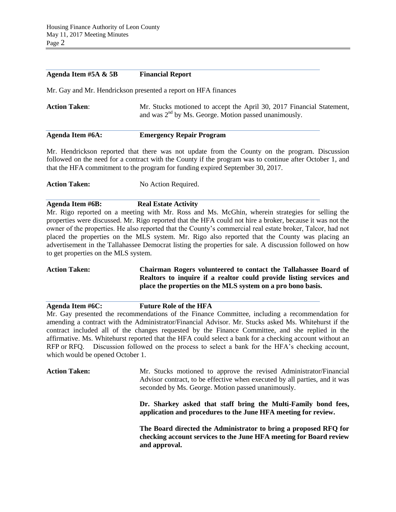#### **Agenda Item #5A & 5B Financial Report**

Mr. Gay and Mr. Hendrickson presented a report on HFA finances

| <b>Action Taken:</b> | Mr. Stucks motioned to accept the April 30, 2017 Financial Statement, |
|----------------------|-----------------------------------------------------------------------|
|                      | and was $2nd$ by Ms. George. Motion passed unanimously.               |
|                      |                                                                       |

#### **Agenda Item #6A: Emergency Repair Program**

Mr. Hendrickson reported that there was not update from the County on the program. Discussion followed on the need for a contract with the County if the program was to continue after October 1, and that the HFA commitment to the program for funding expired September 30, 2017.

Action Taken: No Action Required.

**Agenda Item #6B: Real Estate Activity**

Mr. Rigo reported on a meeting with Mr. Ross and Ms. McGhin, wherein strategies for selling the properties were discussed. Mr. Rigo reported that the HFA could not hire a broker, because it was not the owner of the properties. He also reported that the County's commercial real estate broker, Talcor, had not placed the properties on the MLS system. Mr. Rigo also reported that the County was placing an advertisement in the Tallahassee Democrat listing the properties for sale. A discussion followed on how to get properties on the MLS system.

**Action Taken: Chairman Rogers volunteered to contact the Tallahassee Board of Realtors to inquire if a realtor could provide listing services and place the properties on the MLS system on a pro bono basis.**

**Agenda Item #6C: Future Role of the HFA** Mr. Gay presented the recommendations of the Finance Committee, including a recommendation for amending a contract with the Administrator/Financial Advisor. Mr. Stucks asked Ms. Whitehurst if the contract included all of the changes requested by the Finance Committee, and she replied in the affirmative. Ms. Whitehurst reported that the HFA could select a bank for a checking account without an RFP or RFQ. Discussion followed on the process to select a bank for the HFA's checking account, which would be opened October 1.

**Action Taken:** Mr. Stucks motioned to approve the revised Administrator/Financial Advisor contract, to be effective when executed by all parties, and it was seconded by Ms. George. Motion passed unanimously. **Dr. Sharkey asked that staff bring the Multi-Family bond fees, application and procedures to the June HFA meeting for review. The Board directed the Administrator to bring a proposed RFQ for checking account services to the June HFA meeting for Board review and approval.**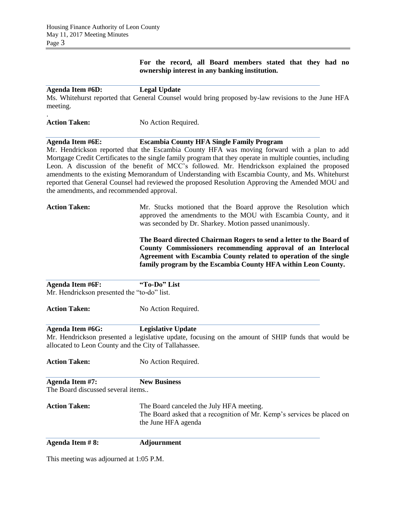## **For the record, all Board members stated that they had no ownership interest in any banking institution.**

| <b>Agenda Item #6D:</b> | <b>Legal Update</b> |
|-------------------------|---------------------|
|                         |                     |

.

Ms. Whitehurst reported that General Counsel would bring proposed by-law revisions to the June HFA meeting.

| <b>Action Taken:</b><br>No Action Required. |
|---------------------------------------------|
|---------------------------------------------|

## **Agenda Item #6E: Escambia County HFA Single Family Program**

Mr. Hendrickson reported that the Escambia County HFA was moving forward with a plan to add Mortgage Credit Certificates to the single family program that they operate in multiple counties, including Leon. A discussion of the benefit of MCC's followed. Mr. Hendrickson explained the proposed amendments to the existing Memorandum of Understanding with Escambia County, and Ms. Whitehurst reported that General Counsel had reviewed the proposed Resolution Approving the Amended MOU and the amendments, and recommended approval.

# Action Taken: Mr. Stucks motioned that the Board approve the Resolution which approved the amendments to the MOU with Escambia County, and it was seconded by Dr. Sharkey. Motion passed unanimously.

**The Board directed Chairman Rogers to send a letter to the Board of County Commissioners recommending approval of an Interlocal Agreement with Escambia County related to operation of the single family program by the Escambia County HFA within Leon County.**

| Agenda Item #6F:                            | "To-Do" List                                                                                                                                                |
|---------------------------------------------|-------------------------------------------------------------------------------------------------------------------------------------------------------------|
| Mr. Hendrickson presented the "to-do" list. |                                                                                                                                                             |
| <b>Action Taken:</b>                        | No Action Required.                                                                                                                                         |
| Agenda Item #6G:                            | <b>Legislative Update</b>                                                                                                                                   |
|                                             | Mr. Hendrickson presented a legislative update, focusing on the amount of SHIP funds that would be<br>allocated to Leon County and the City of Tallahassee. |
| <b>Action Taken:</b>                        | No Action Required.                                                                                                                                         |
| Agenda Item #7:                             | <b>New Business</b>                                                                                                                                         |
| The Board discussed several items           |                                                                                                                                                             |
| <b>Action Taken:</b>                        | The Board canceled the July HFA meeting.<br>The Board asked that a recognition of Mr. Kemp's services be placed on<br>the June HFA agenda                   |
| Agenda Item #8:                             | <b>Adjournment</b>                                                                                                                                          |

This meeting was adjourned at 1:05 P.M.